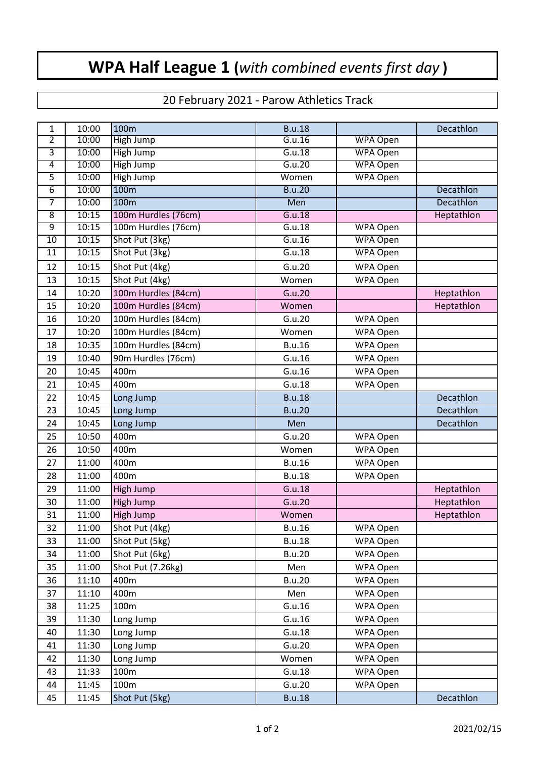## **WPA Half League 1 (***with combined events first day* **)**

## 20 February 2021 - Parow Athletics Track

| 1              | 10:00 | 100m                | <b>B.u.18</b> |                 | Decathlon  |
|----------------|-------|---------------------|---------------|-----------------|------------|
| 2              | 10:00 | High Jump           | G.u.16        | <b>WPA Open</b> |            |
| 3              | 10:00 | High Jump           | G.u.18        | <b>WPA Open</b> |            |
| 4              | 10:00 | High Jump           | G.u.20        | <b>WPA Open</b> |            |
| $\overline{5}$ | 10:00 | High Jump           | Women         | <b>WPA Open</b> |            |
| $\overline{6}$ | 10:00 | 100m                | <b>B.u.20</b> |                 | Decathlon  |
| 7              | 10:00 | 100m                | Men           |                 | Decathlon  |
| $\overline{8}$ | 10:15 | 100m Hurdles (76cm) | G.u.18        |                 | Heptathlon |
| 9              | 10:15 | 100m Hurdles (76cm) | G.u.18        | <b>WPA Open</b> |            |
| 10             | 10:15 | Shot Put (3kg)      | G.u.16        | <b>WPA Open</b> |            |
| 11             | 10:15 | Shot Put (3kg)      | G.u.18        | <b>WPA Open</b> |            |
| 12             | 10:15 | Shot Put (4kg)      | G.u.20        | WPA Open        |            |
| 13             | 10:15 | Shot Put (4kg)      | Women         | WPA Open        |            |
| 14             | 10:20 | 100m Hurdles (84cm) | G.u.20        |                 | Heptathlon |
| 15             | 10:20 | 100m Hurdles (84cm) | Women         |                 | Heptathlon |
| 16             | 10:20 | 100m Hurdles (84cm) | G.u.20        | WPA Open        |            |
| 17             | 10:20 | 100m Hurdles (84cm) | Women         | WPA Open        |            |
| 18             | 10:35 | 100m Hurdles (84cm) | <b>B.u.16</b> | WPA Open        |            |
| 19             | 10:40 | 90m Hurdles (76cm)  | G.u.16        | WPA Open        |            |
| 20             | 10:45 | 400m                | G.u.16        | WPA Open        |            |
| 21             | 10:45 | 400m                | G.u.18        | WPA Open        |            |
| 22             | 10:45 | Long Jump           | <b>B.u.18</b> |                 | Decathlon  |
| 23             | 10:45 | Long Jump           | <b>B.u.20</b> |                 | Decathlon  |
| 24             | 10:45 | Long Jump           | Men           |                 | Decathlon  |
| 25             | 10:50 | 400m                | G.u.20        | WPA Open        |            |
| 26             | 10:50 | 400m                | Women         | WPA Open        |            |
| 27             | 11:00 | 400m                | <b>B.u.16</b> | WPA Open        |            |
| 28             | 11:00 | 400m                | <b>B.u.18</b> | WPA Open        |            |
| 29             | 11:00 | High Jump           | G.u.18        |                 | Heptathlon |
| 30             | 11:00 | High Jump           | G.u.20        |                 | Heptathlon |
| 31             | 11:00 | High Jump           | Women         |                 | Heptathlon |
| 32             | 11:00 | Shot Put (4kg)      | <b>B.u.16</b> | WPA Open        |            |
| 33             | 11:00 | Shot Put (5kg)      | <b>B.u.18</b> | WPA Open        |            |
| 34             | 11:00 | Shot Put (6kg)      | <b>B.u.20</b> | WPA Open        |            |
| 35             | 11:00 | Shot Put (7.26kg)   | Men           | WPA Open        |            |
| 36             | 11:10 | 400m                | <b>B.u.20</b> | WPA Open        |            |
| 37             | 11:10 | 400m                | Men           | WPA Open        |            |
| 38             | 11:25 | 100m                | G.u.16        | WPA Open        |            |
| 39             | 11:30 | Long Jump           | G.u.16        | WPA Open        |            |
| 40             | 11:30 | Long Jump           | G.u.18        | WPA Open        |            |
| 41             | 11:30 | Long Jump           | G.u.20        | WPA Open        |            |
| 42             | 11:30 | Long Jump           | Women         | WPA Open        |            |
| 43             | 11:33 | 100m                | G.u.18        | WPA Open        |            |
| 44             | 11:45 | 100m                | G.u.20        | WPA Open        |            |
| 45             | 11:45 | Shot Put (5kg)      | <b>B.u.18</b> |                 | Decathlon  |